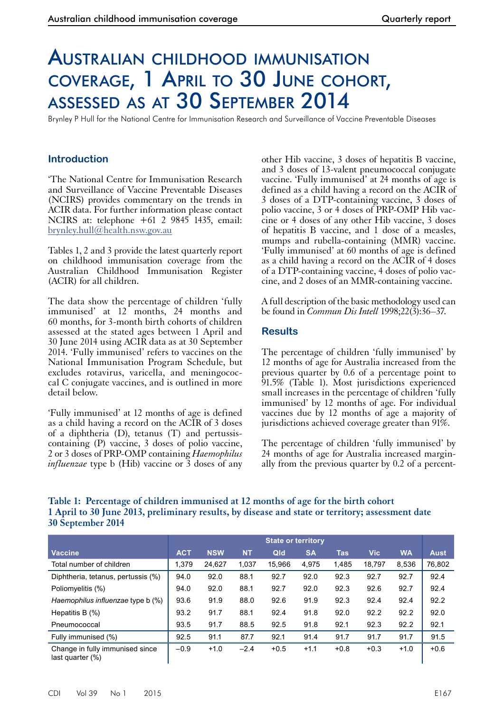# Australian childhood immunisation coverage, 1 April to 30 June cohort, assessed as at 30 September 2014

Brynley P Hull for the National Centre for Immunisation Research and Surveillance of Vaccine Preventable Diseases

# **Introduction**

'The National Centre for Immunisation Research and Surveillance of Vaccine Preventable Diseases (NCIRS) provides commentary on the trends in ACIR data. For further information please contact NCIRS at: telephone +61 2 9845 1435, email: [brynley.hull@health.nsw.gov.au](mailto:brynley.hull@health.nsw.gov.au)

Tables 1, 2 and 3 provide the latest quarterly report on childhood immunisation coverage from the Australian Childhood Immunisation Register (ACIR) for all children.

The data show the percentage of children 'fully immunised' at 12 months, 24 months and 60 months, for 3-month birth cohorts of children assessed at the stated ages between 1 April and 30 June 2014 using ACIR data as at 30 September 2014. 'Fully immunised' refers to vaccines on the National Immunisation Program Schedule, but excludes rotavirus, varicella, and meningococcal C conjugate vaccines, and is outlined in more detail below.

'Fully immunised' at 12 months of age is defined as a child having a record on the ACIR of 3 doses of a diphtheria (D), tetanus (T) and pertussiscontaining (P) vaccine, 3 doses of polio vaccine, 2 or 3 doses of PRP-OMP containing *Haemophilus influenzae* type b (Hib) vaccine or  $\overline{3}$  doses of any other Hib vaccine, 3 doses of hepatitis B vaccine, and 3 doses of 13-valent pneumococcal conjugate vaccine. 'Fully immunised' at 24 months of age is defined as a child having a record on the ACIR of 3 doses of a DTP-containing vaccine, 3 doses of polio vaccine, 3 or 4 doses of PRP-OMP Hib vaccine or 4 doses of any other Hib vaccine, 3 doses of hepatitis B vaccine, and 1 dose of a measles, mumps and rubella-containing (MMR) vaccine. 'Fully immunised' at 60 months of age is defined as a child having a record on the ACIR of 4 doses of a DTP-containing vaccine, 4 doses of polio vaccine, and 2 doses of an MMR-containing vaccine.

A full description of the basic methodology used can be found in *Commun Dis Intell* 1998;22(3):36–37.

#### **Results**

The percentage of children 'fully immunised' by 12 months of age for Australia increased from the previous quarter by 0.6 of a percentage point to 91.5% (Table 1). Most jurisdictions experienced small increases in the percentage of children 'fully immunised' by 12 months of age. For individual vaccines due by 12 months of age a majority of jurisdictions achieved coverage greater than 91%.

The percentage of children 'fully immunised' by 24 months of age for Australia increased margin- ally from the previous quarter by 0.2 of a percent-

# **Table 1: Percentage of children immunised at 12 months of age for the birth cohort 1 April to 30 June 2013, preliminary results, by disease and state or territory; assessment date 30 September 2014**

|                                                     | <b>State or territory</b> |            |           |        |           |            |            |           |             |
|-----------------------------------------------------|---------------------------|------------|-----------|--------|-----------|------------|------------|-----------|-------------|
| <b>Vaccine</b>                                      | <b>ACT</b>                | <b>NSW</b> | <b>NT</b> | Qld    | <b>SA</b> | <b>Tas</b> | <b>Vic</b> | <b>WA</b> | <b>Aust</b> |
| Total number of children                            | 1,379                     | 24,627     | 1,037     | 15.966 | 4,975     | 1,485      | 18,797     | 8.536     | 76,802      |
| Diphtheria, tetanus, pertussis (%)                  | 94.0                      | 92.0       | 88.1      | 92.7   | 92.0      | 92.3       | 92.7       | 92.7      | 92.4        |
| Poliomyelitis (%)                                   | 94.0                      | 92.0       | 88.1      | 92.7   | 92.0      | 92.3       | 92.6       | 92.7      | 92.4        |
| Haemophilus influenzae type b (%)                   | 93.6                      | 91.9       | 88.0      | 92.6   | 91.9      | 92.3       | 92.4       | 92.4      | 92.2        |
| Hepatitis B $(\%)$                                  | 93.2                      | 91.7       | 88.1      | 92.4   | 91.8      | 92.0       | 92.2       | 92.2      | 92.0        |
| Pneumococcal                                        | 93.5                      | 91.7       | 88.5      | 92.5   | 91.8      | 92.1       | 92.3       | 92.2      | 92.1        |
| Fully immunised (%)                                 | 92.5                      | 91.1       | 87.7      | 92.1   | 91.4      | 91.7       | 91.7       | 91.7      | 91.5        |
| Change in fully immunised since<br>last quarter (%) | $-0.9$                    | $+1.0$     | $-2.4$    | $+0.5$ | $+1.1$    | $+0.8$     | $+0.3$     | $+1.0$    | $+0.6$      |